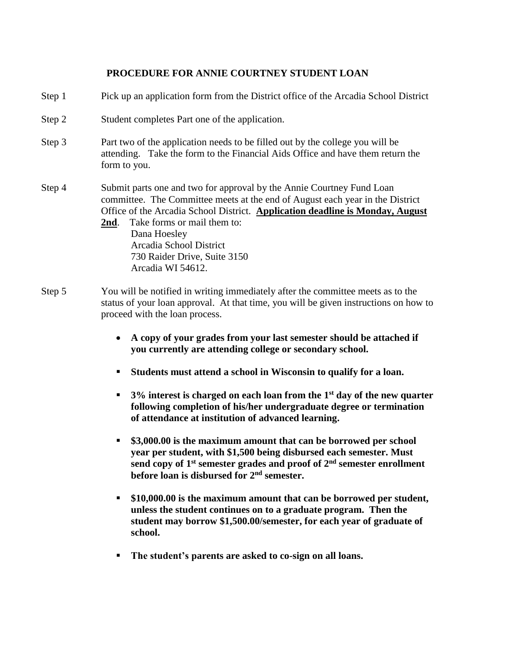# **PROCEDURE FOR ANNIE COURTNEY STUDENT LOAN**

| Step 1 | Pick up an application form from the District office of the Arcadia School District                                                                                                                                                                                                                                                                                                    |
|--------|----------------------------------------------------------------------------------------------------------------------------------------------------------------------------------------------------------------------------------------------------------------------------------------------------------------------------------------------------------------------------------------|
| Step 2 | Student completes Part one of the application.                                                                                                                                                                                                                                                                                                                                         |
| Step 3 | Part two of the application needs to be filled out by the college you will be<br>attending. Take the form to the Financial Aids Office and have them return the<br>form to you.                                                                                                                                                                                                        |
| Step 4 | Submit parts one and two for approval by the Annie Courtney Fund Loan<br>committee. The Committee meets at the end of August each year in the District<br>Office of the Arcadia School District. Application deadline is Monday, August<br>Take forms or mail them to:<br><u>2nd</u> .<br>Dana Hoesley<br>Arcadia School District<br>730 Raider Drive, Suite 3150<br>Arcadia WI 54612. |
| Step 5 | You will be notified in writing immediately after the committee meets as to the<br>status of your loan approval. At that time, you will be given instructions on how to<br>proceed with the loan process.<br>A copy of your grades from your last semester should be attached if                                                                                                       |
|        | you currently are attending college or secondary school.                                                                                                                                                                                                                                                                                                                               |
|        | Students must attend a school in Wisconsin to qualify for a loan.<br>п                                                                                                                                                                                                                                                                                                                 |
|        | $3\%$ interest is charged on each loan from the 1 <sup>st</sup> day of the new quarter<br>п<br>following completion of his/her undergraduate degree or termination<br>of attendance at institution of advanced learning.                                                                                                                                                               |
|        | \$3,000.00 is the maximum amount that can be borrowed per school<br>п<br>year per student, with \$1,500 being disbursed each semester. Must<br>send copy of 1 <sup>st</sup> semester grades and proof of 2 <sup>nd</sup> semester enrollment<br>before loan is disbursed for 2 <sup>nd</sup> semester.                                                                                 |
|        | \$10,000.00 is the maximum amount that can be borrowed per student,<br>ш<br>unless the student continues on to a graduate program. Then the<br>student may borrow \$1,500.00/semester, for each year of graduate of<br>school.                                                                                                                                                         |
|        | The student's parents are asked to co-sign on all loans.                                                                                                                                                                                                                                                                                                                               |